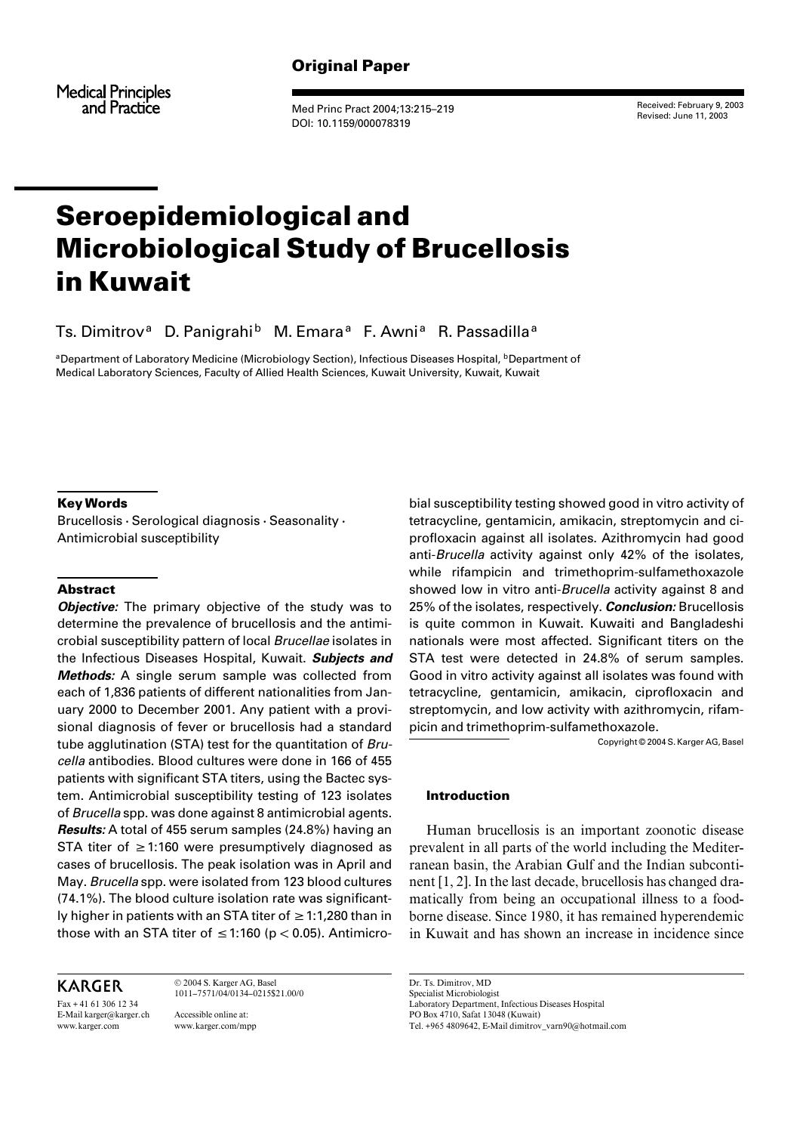## Original Paper

**Medical Principles** and Practice

Med Princ Pract 2004;13:215–219 DOI: 10.1159/000078319

Received: February 9, 2003 Revised: June 11, 2003

# Seroepidemiological and Microbiological Study of Brucellosis in Kuwait

Ts. Dimitrov<sup>a</sup> D. Panigrahi<sup>b</sup> M. Emara<sup>a</sup> F. Awni<sup>a</sup> R. Passadilla<sup>a</sup>

aDepartment of Laboratory Medicine (Microbiology Section), Infectious Diseases Hospital, **bDepartment of** Medical Laboratory Sciences, Faculty of Allied Health Sciences, Kuwait University, Kuwait, Kuwait

#### Key Words

Brucellosis  $\cdot$  Serological diagnosis  $\cdot$  Seasonality  $\cdot$ Antimicrobial susceptibility

### Abstract

*Objective:* The primary objective of the study was to determine the prevalence of brucellosis and the antimicrobial susceptibility pattern of local Brucellae isolates in the Infectious Diseases Hospital, Kuwait. **Subjects and Methods:** A single serum sample was collected from each of 1,836 patients of different nationalities from January 2000 to December 2001. Any patient with a provisional diagnosis of fever or brucellosis had a standard tube agglutination (STA) test for the quantitation of Brucella antibodies. Blood cultures were done in 166 of 455 patients with significant STA titers, using the Bactec system. Antimicrobial susceptibility testing of 123 isolates of Brucella spp. was done against 8 antimicrobial agents. **Results:** A total of 455 serum samples (24.8%) having an STA titer of  $\geq$  1:160 were presumptively diagnosed as cases of brucellosis. The peak isolation was in April and May. Brucella spp. were isolated from 123 blood cultures (74.1%). The blood culture isolation rate was significantly higher in patients with an STA titer of  $\geq 1:1,280$  than in those with an STA titer of  $\leq$  1:160 (p < 0.05). Antimicro-

KARGER

Fax + 41 61 306 12 34 E-Mail karger@karger.ch www.karger.com

© 2004 S. Karger AG, Basel 1011–7571/04/0134–0215\$21.00/0 Accessible online at: www.karger.com/mpp

bial susceptibility testing showed good in vitro activity of tetracycline, gentamicin, amikacin, streptomycin and ciprofloxacin against all isolates. Azithromycin had good anti-Brucella activity against only 42% of the isolates, while rifampicin and trimethoprim-sulfamethoxazole showed low in vitro anti-Brucella activity against 8 and 25% of the isolates, respectively. **Conclusion:** Brucellosis is quite common in Kuwait. Kuwaiti and Bangladeshi nationals were most affected. Significant titers on the STA test were detected in 24.8% of serum samples. Good in vitro activity against all isolates was found with tetracycline, gentamicin, amikacin, ciprofloxacin and streptomycin, and low activity with azithromycin, rifampicin and trimethoprim-sulfamethoxazole.

Copyright © 2004 S. Karger AG, Basel

#### Introduction

Human brucellosis is an important zoonotic disease prevalent in all parts of the world including the Mediterranean basin, the Arabian Gulf and the Indian subcontinent [1, 2]. In the last decade, brucellosis has changed dramatically from being an occupational illness to a foodborne disease. Since 1980, it has remained hyperendemic in Kuwait and has shown an increase in incidence since

Dr. Ts. Dimitrov, MD Specialist Microbiologist Laboratory Department, Infectious Diseases Hospital PO Box 4710, Safat 13048 (Kuwait) Tel. +965 4809642, E-Mail dimitrov\_varn90@hotmail.com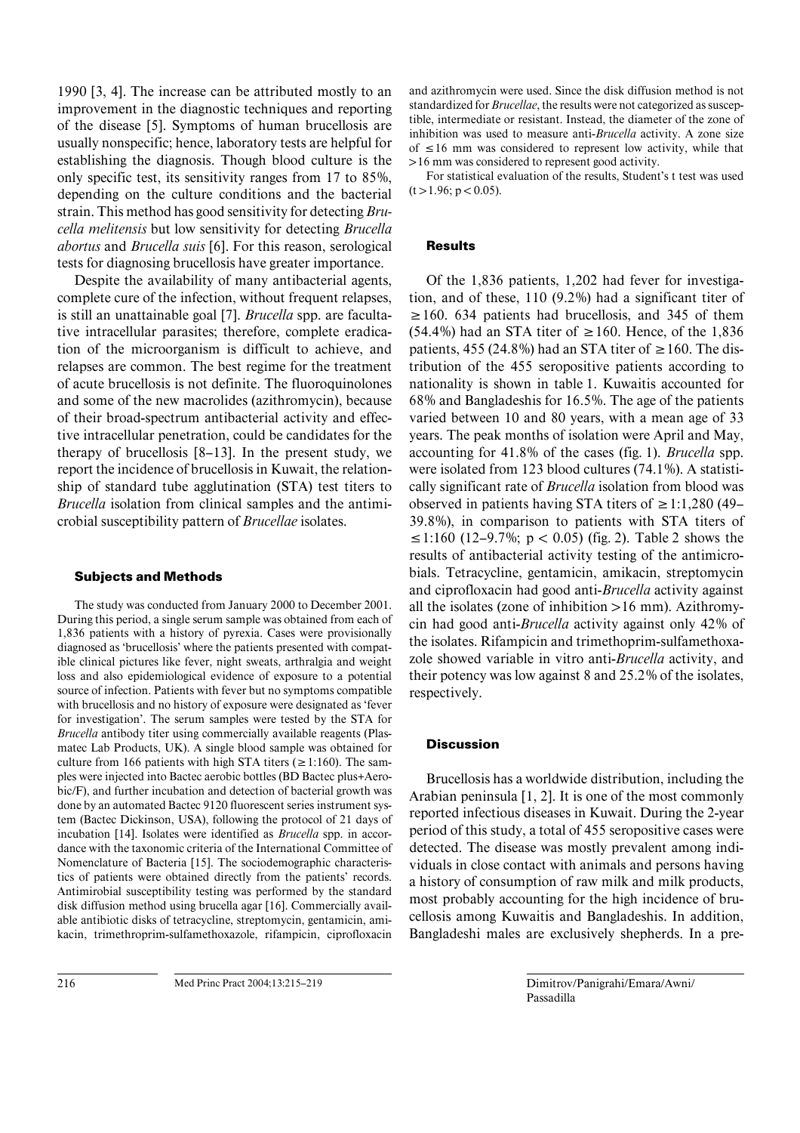1990 [3, 4]. The increase can be attributed mostly to an improvement in the diagnostic techniques and reporting of the disease [5]. Symptoms of human brucellosis are usually nonspecific; hence, laboratory tests are helpful for establishing the diagnosis. Though blood culture is the only specific test, its sensitivity ranges from 17 to 85%, depending on the culture conditions and the bacterial strain. This method has good sensitivity for detecting *Brucella melitensis* but low sensitivity for detecting *Brucella abortus* and *Brucella suis* [6]. For this reason, serological tests for diagnosing brucellosis have greater importance.

Despite the availability of many antibacterial agents, complete cure of the infection, without frequent relapses, is still an unattainable goal [7]. *Brucella* spp. are facultative intracellular parasites; therefore, complete eradication of the microorganism is difficult to achieve, and relapses are common. The best regime for the treatment of acute brucellosis is not definite. The fluoroquinolones and some of the new macrolides (azithromycin), because of their broad-spectrum antibacterial activity and effective intracellular penetration, could be candidates for the therapy of brucellosis [8–13]. In the present study, we report the incidence of brucellosis in Kuwait, the relationship of standard tube agglutination (STA) test titers to *Brucella* isolation from clinical samples and the antimicrobial susceptibility pattern of *Brucellae* isolates.

#### Subjects and Methods

The study was conducted from January 2000 to December 2001. During this period, a single serum sample was obtained from each of 1,836 patients with a history of pyrexia. Cases were provisionally diagnosed as 'brucellosis' where the patients presented with compatible clinical pictures like fever, night sweats, arthralgia and weight loss and also epidemiological evidence of exposure to a potential source of infection. Patients with fever but no symptoms compatible with brucellosis and no history of exposure were designated as 'fever for investigation'. The serum samples were tested by the STA for *Brucella* antibody titer using commercially available reagents (Plasmatec Lab Products, UK). A single blood sample was obtained for culture from 166 patients with high STA titers ( $\geq$ 1:160). The samples were injected into Bactec aerobic bottles (BD Bactec plus+Aerobic/F), and further incubation and detection of bacterial growth was done by an automated Bactec 9120 fluorescent series instrument system (Bactec Dickinson, USA), following the protocol of 21 days of incubation [14]. Isolates were identified as *Brucella* spp. in accordance with the taxonomic criteria of the International Committee of Nomenclature of Bacteria [15]. The sociodemographic characteristics of patients were obtained directly from the patients' records. Antimirobial susceptibility testing was performed by the standard disk diffusion method using brucella agar [16]. Commercially available antibiotic disks of tetracycline, streptomycin, gentamicin, amikacin, trimethroprim-sulfamethoxazole, rifampicin, ciprofloxacin

and azithromycin were used. Since the disk diffusion method is not standardized for *Brucellae*, the results were not categorized as susceptible, intermediate or resistant. Instead, the diameter of the zone of inhibition was used to measure anti-*Brucella* activity. A zone size of  $\leq 16$  mm was considered to represent low activity, while that  $>16$  mm was considered to represent good activity.

For statistical evaluation of the results, Student's t test was used  $(t > 1.96; p < 0.05)$ .

#### **Results**

Of the 1,836 patients, 1,202 had fever for investigation, and of these, 110 (9.2%) had a significant titer of  $\geq$  160. 634 patients had brucellosis, and 345 of them (54.4%) had an STA titer of  $\geq 160$ . Hence, of the 1,836 patients, 455 (24.8%) had an STA titer of  $\geq 160$ . The distribution of the 455 seropositive patients according to nationality is shown in table 1. Kuwaitis accounted for 68% and Bangladeshis for 16.5%. The age of the patients varied between 10 and 80 years, with a mean age of 33 years. The peak months of isolation were April and May, accounting for 41.8% of the cases (fig. 1). *Brucella* spp. were isolated from 123 blood cultures (74.1%). A statistically significant rate of *Brucella* isolation from blood was observed in patients having STA titers of  $\geq 1:1,280$  (49– 39.8%), in comparison to patients with STA titers of  $\leq$ 1:160 (12–9.7%; p < 0.05) (fig. 2). Table 2 shows the results of antibacterial activity testing of the antimicrobials. Tetracycline, gentamicin, amikacin, streptomycin and ciprofloxacin had good anti-*Brucella* activity against all the isolates (zone of inhibition  $>16$  mm). Azithromycin had good anti-*Brucella* activity against only 42% of the isolates. Rifampicin and trimethoprim-sulfamethoxazole showed variable in vitro anti-*Brucella* activity, and their potency was low against 8 and 25.2% of the isolates, respectively.

#### **Discussion**

Brucellosis has a worldwide distribution, including the Arabian peninsula [1, 2]. It is one of the most commonly reported infectious diseases in Kuwait. During the 2-year period of this study, a total of 455 seropositive cases were detected. The disease was mostly prevalent among individuals in close contact with animals and persons having a history of consumption of raw milk and milk products, most probably accounting for the high incidence of brucellosis among Kuwaitis and Bangladeshis. In addition, Bangladeshi males are exclusively shepherds. In a pre-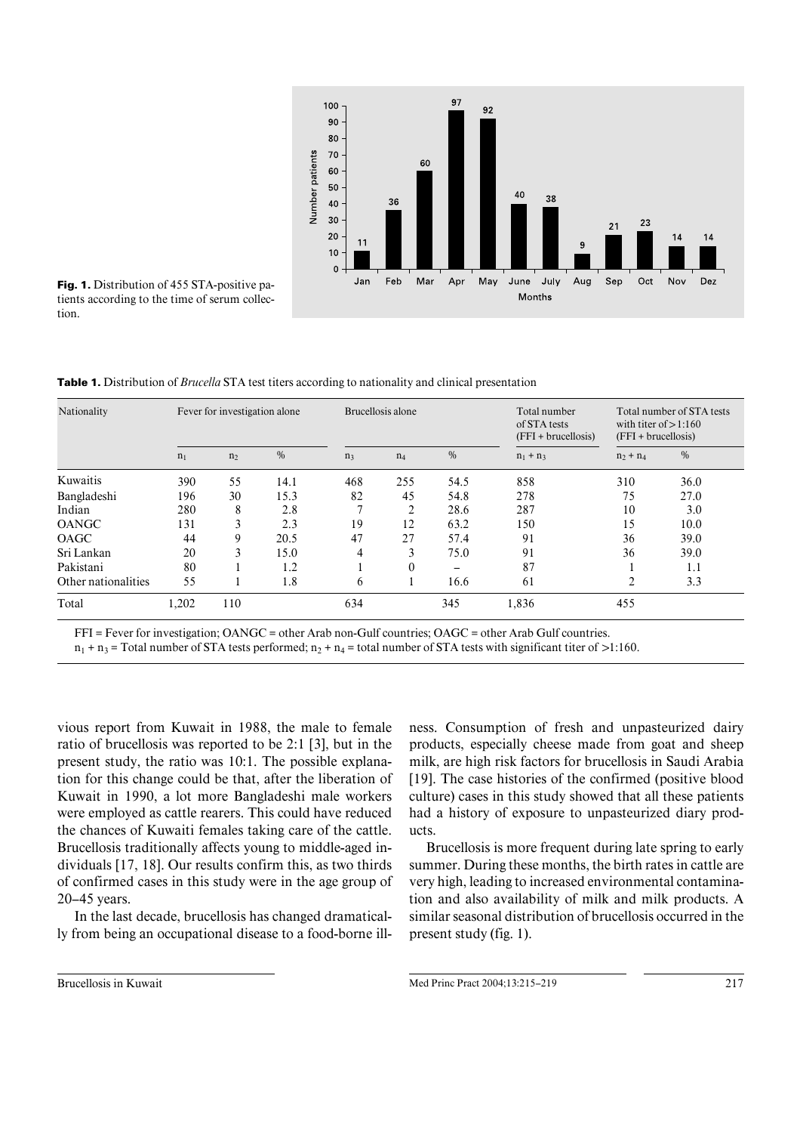

Fig. 1. Distribution of 455 STA-positive patients according to the time of serum collection.

Table 1. Distribution of *Brucella* STA test titers according to nationality and clinical presentation

| Nationality         | Fever for investigation alone |                |               |                | Brucellosis alone |      | Total number<br>of STA tests<br>$(FFI + brucellosis)$ | Total number of STA tests<br>with titer of $> 1:160$<br>$(FFI + brucellosis)$ |               |
|---------------------|-------------------------------|----------------|---------------|----------------|-------------------|------|-------------------------------------------------------|-------------------------------------------------------------------------------|---------------|
|                     | n <sub>1</sub>                | n <sub>2</sub> | $\frac{0}{0}$ | n <sub>3</sub> | $n_4$             | $\%$ | $n_1 + n_3$                                           | $n_2 + n_4$                                                                   | $\frac{0}{0}$ |
| Kuwaitis            | 390                           | 55             | 14.1          | 468            | 255               | 54.5 | 858                                                   | 310                                                                           | 36.0          |
| Bangladeshi         | 196                           | 30             | 15.3          | 82             | 45                | 54.8 | 278                                                   | 75                                                                            | 27.0          |
| Indian              | 280                           | 8              | 2.8           |                | 2                 | 28.6 | 287                                                   | 10                                                                            | 3.0           |
| <b>OANGC</b>        | 131                           | 3              | 2.3           | 19             | 12                | 63.2 | 150                                                   | 15                                                                            | 10.0          |
| <b>OAGC</b>         | 44                            | 9              | 20.5          | 47             | 27                | 57.4 | 91                                                    | 36                                                                            | 39.0          |
| Sri Lankan          | 20                            | 3              | 15.0          | 4              | 3                 | 75.0 | 91                                                    | 36                                                                            | 39.0          |
| Pakistani           | 80                            |                | 1.2           |                | $\theta$          | -    | 87                                                    |                                                                               | 1.1           |
| Other nationalities | 55                            |                | 1.8           | 6              |                   | 16.6 | 61                                                    | $\overline{2}$                                                                | 3.3           |
| Total               | 1,202                         | 110            |               | 634            |                   | 345  | 1,836                                                 | 455                                                                           |               |

FFI = Fever for investigation; OANGC = other Arab non-Gulf countries; OAGC = other Arab Gulf countries.

 $n_1 + n_3$  = Total number of STA tests performed;  $n_2 + n_4$  = total number of STA tests with significant titer of >1:160.

vious report from Kuwait in 1988, the male to female ratio of brucellosis was reported to be 2:1 [3], but in the present study, the ratio was 10:1. The possible explanation for this change could be that, after the liberation of Kuwait in 1990, a lot more Bangladeshi male workers were employed as cattle rearers. This could have reduced the chances of Kuwaiti females taking care of the cattle. Brucellosis traditionally affects young to middle-aged individuals [17, 18]. Our results confirm this, as two thirds of confirmed cases in this study were in the age group of 20–45 years.

In the last decade, brucellosis has changed dramatically from being an occupational disease to a food-borne illness. Consumption of fresh and unpasteurized dairy products, especially cheese made from goat and sheep milk, are high risk factors for brucellosis in Saudi Arabia [19]. The case histories of the confirmed (positive blood culture) cases in this study showed that all these patients had a history of exposure to unpasteurized diary products.

Brucellosis is more frequent during late spring to early summer. During these months, the birth rates in cattle are very high, leading to increased environmental contamination and also availability of milk and milk products. A similar seasonal distribution of brucellosis occurred in the present study (fig. 1).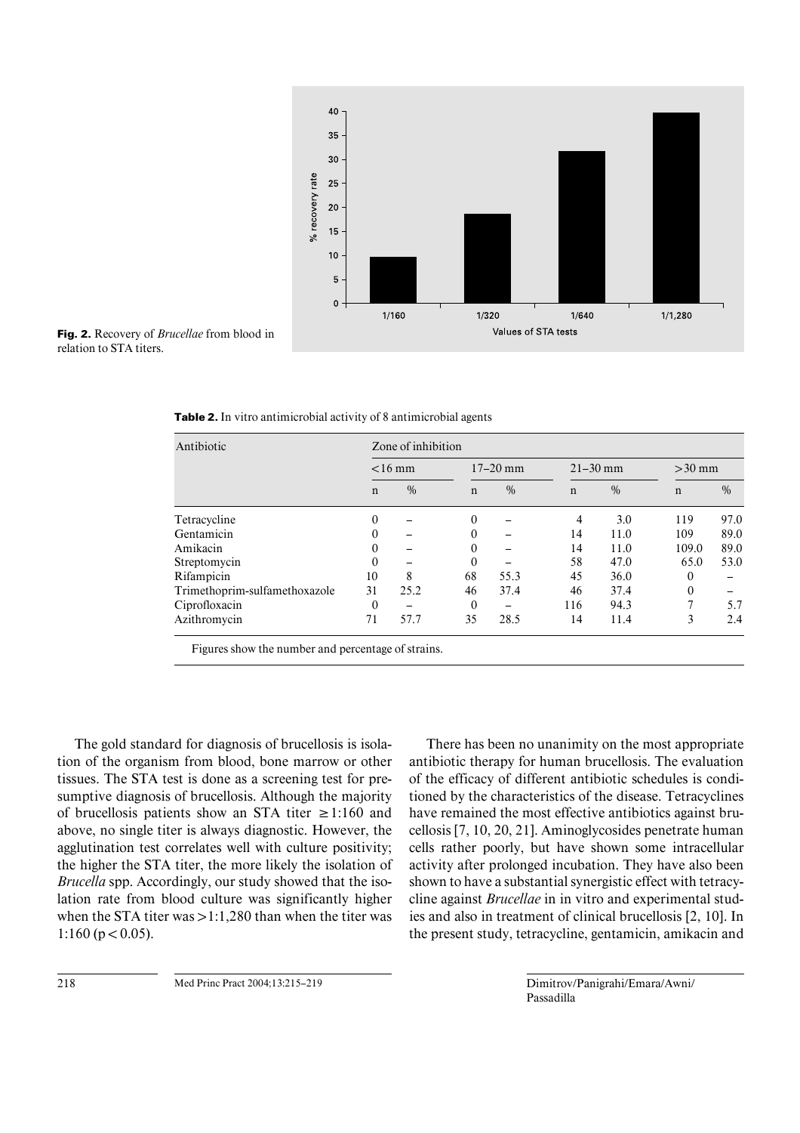

Fig. 2. Recovery of *Brucellae* from blood in relation to STA titers.

| Antibiotic                    | Zone of inhibition |               |              |               |              |               |              |      |  |  |
|-------------------------------|--------------------|---------------|--------------|---------------|--------------|---------------|--------------|------|--|--|
|                               | $<$ 16 mm          |               | $17 - 20$ mm |               | $21 - 30$ mm |               | $>30$ mm     |      |  |  |
|                               | $\mathbf n$        | $\frac{0}{0}$ | $\mathbf n$  | $\frac{0}{0}$ | $\mathbf n$  | $\frac{0}{0}$ | $\mathbf n$  | $\%$ |  |  |
| Tetracycline                  | $\theta$           |               | $\theta$     |               | 4            | 3.0           | 119          | 97.0 |  |  |
| Gentamicin                    | $\Omega$           |               | $\Omega$     |               | 14           | 11.0          | 109          | 89.0 |  |  |
| Amikacin                      | 0                  |               | $\Omega$     |               | 14           | 11.0          | 109.0        | 89.0 |  |  |
| Streptomycin                  | 0                  |               | $\Omega$     |               | 58           | 47.0          | 65.0         | 53.0 |  |  |
| Rifampicin                    | 10                 | 8             | 68           | 55.3          | 45           | 36.0          | 0            |      |  |  |
| Trimethoprim-sulfamethoxazole | 31                 | 25.2          | 46           | 37.4          | 46           | 37.4          | $\mathbf{0}$ |      |  |  |
| Ciprofloxacin                 | 0                  |               | $\Omega$     |               | 116          | 94.3          | 7            | 5.7  |  |  |
| Azithromycin                  | 71                 | 57.7          | 35           | 28.5          | 14           | 11.4          | 3            | 2.4  |  |  |

Table 2. In vitro antimicrobial activity of 8 antimicrobial agents

Figures show the number and percentage of strains.

The gold standard for diagnosis of brucellosis is isolation of the organism from blood, bone marrow or other tissues. The STA test is done as a screening test for presumptive diagnosis of brucellosis. Although the majority of brucellosis patients show an STA titer  $\geq 1:160$  and above, no single titer is always diagnostic. However, the agglutination test correlates well with culture positivity; the higher the STA titer, the more likely the isolation of *Brucella* spp. Accordingly, our study showed that the isolation rate from blood culture was significantly higher when the STA titer was  $>1:1,280$  than when the titer was 1:160 ( $p < 0.05$ ).

There has been no unanimity on the most appropriate antibiotic therapy for human brucellosis. The evaluation of the efficacy of different antibiotic schedules is conditioned by the characteristics of the disease. Tetracyclines have remained the most effective antibiotics against brucellosis [7, 10, 20, 21]. Aminoglycosides penetrate human cells rather poorly, but have shown some intracellular activity after prolonged incubation. They have also been shown to have a substantial synergistic effect with tetracycline against *Brucellae* in in vitro and experimental studies and also in treatment of clinical brucellosis [2, 10]. In the present study, tetracycline, gentamicin, amikacin and